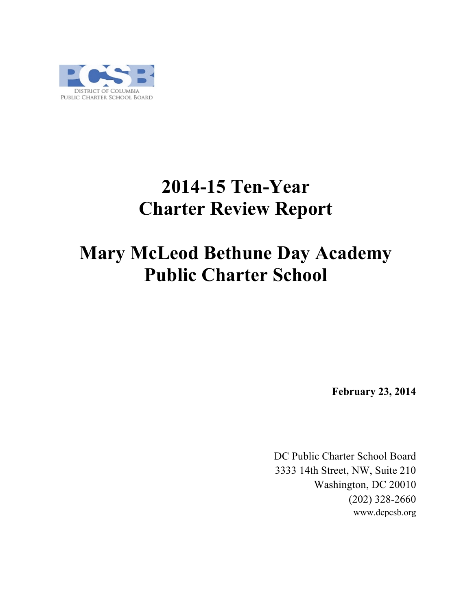

# **2014-15 Ten-Year Charter Review Report**

## **Mary McLeod Bethune Day Academy Public Charter School**

**February 23, 2014**

DC Public Charter School Board 3333 14th Street, NW, Suite 210 Washington, DC 20010 (202) 328-2660 www.dcpcsb.org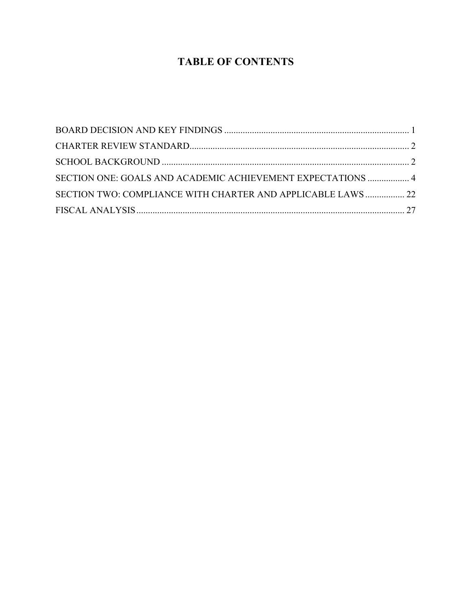## **TABLE OF CONTENTS**

| SECTION ONE: GOALS AND ACADEMIC ACHIEVEMENT EXPECTATIONS  4  |  |
|--------------------------------------------------------------|--|
| SECTION TWO: COMPLIANCE WITH CHARTER AND APPLICABLE LAWS  22 |  |
|                                                              |  |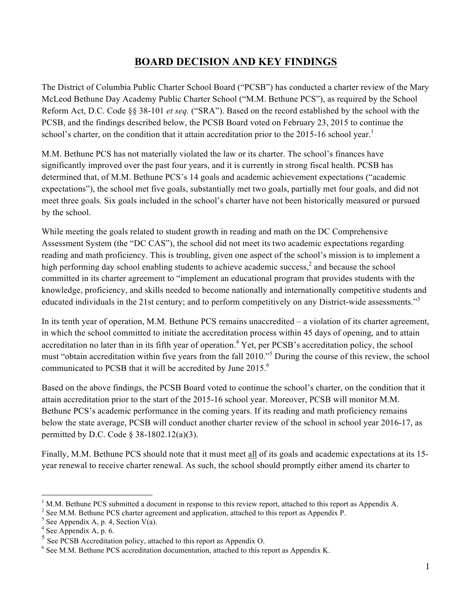### **BOARD DECISION AND KEY FINDINGS**

The District of Columbia Public Charter School Board ("PCSB") has conducted a charter review of the Mary McLeod Bethune Day Academy Public Charter School ("M.M. Bethune PCS"), as required by the School Reform Act, D.C. Code §§ 38-101 *et seq.* ("SRA"). Based on the record established by the school with the PCSB, and the findings described below, the PCSB Board voted on February 23, 2015 to continue the school's charter, on the condition that it attain accreditation prior to the 2015-16 school year.<sup>1</sup>

M.M. Bethune PCS has not materially violated the law or its charter. The school's finances have significantly improved over the past four years, and it is currently in strong fiscal health. PCSB has determined that, of M.M. Bethune PCS's 14 goals and academic achievement expectations ("academic expectations"), the school met five goals, substantially met two goals, partially met four goals, and did not meet three goals. Six goals included in the school's charter have not been historically measured or pursued by the school.

While meeting the goals related to student growth in reading and math on the DC Comprehensive Assessment System (the "DC CAS"), the school did not meet its two academic expectations regarding reading and math proficiency. This is troubling, given one aspect of the school's mission is to implement a high performing day school enabling students to achieve academic success, $\lambda^2$  and because the school committed in its charter agreement to "implement an educational program that provides students with the knowledge, proficiency, and skills needed to become nationally and internationally competitive students and educated individuals in the 21st century; and to perform competitively on any District-wide assessments."<sup>3</sup>

In its tenth year of operation, M.M. Bethune PCS remains unaccredited – a violation of its charter agreement, in which the school committed to initiate the accreditation process within 45 days of opening, and to attain accreditation no later than in its fifth year of operation.<sup>4</sup> Yet, per PCSB's accreditation policy, the school must "obtain accreditation within five years from the fall 2010."<sup>5</sup> During the course of this review, the school communicated to PCSB that it will be accredited by June 2015.<sup>6</sup>

Based on the above findings, the PCSB Board voted to continue the school's charter, on the condition that it attain accreditation prior to the start of the 2015-16 school year. Moreover, PCSB will monitor M.M. Bethune PCS's academic performance in the coming years. If its reading and math proficiency remains below the state average, PCSB will conduct another charter review of the school in school year 2016-17, as permitted by D.C. Code § 38-1802.12(a)(3).

Finally, M.M. Bethune PCS should note that it must meet all of its goals and academic expectations at its 15 year renewal to receive charter renewal. As such, the school should promptly either amend its charter to

 <sup>1</sup> M.M. Bethune PCS submitted a document in response to this review report, attached to this report as Appendix A.

<sup>&</sup>lt;sup>2</sup> See M.M. Bethune PCS charter agreement and application, attached to this report as Appendix P. <sup>3</sup> See Appendix A, p. 4, Section V(a).  $4$  See Appendix A, p. 6.

<sup>&</sup>lt;sup>5</sup> See PCSB Accreditation policy, attached to this report as Appendix O.

<sup>&</sup>lt;sup>6</sup> See M.M. Bethune PCS accreditation documentation, attached to this report as Appendix K.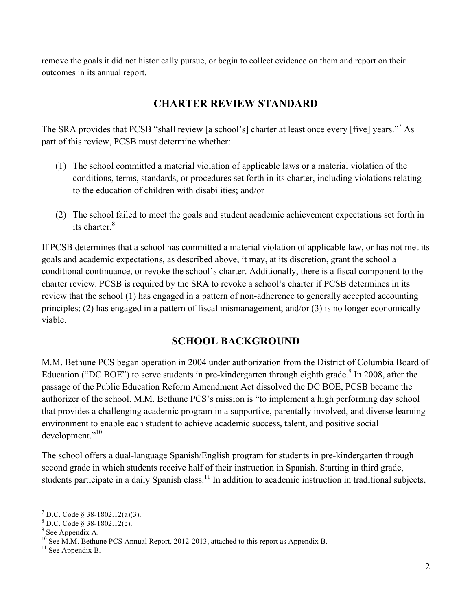remove the goals it did not historically pursue, or begin to collect evidence on them and report on their outcomes in its annual report.

## **CHARTER REVIEW STANDARD**

The SRA provides that PCSB "shall review [a school's] charter at least once every [five] years."<sup>7</sup> As part of this review, PCSB must determine whether:

- (1) The school committed a material violation of applicable laws or a material violation of the conditions, terms, standards, or procedures set forth in its charter, including violations relating to the education of children with disabilities; and/or
- (2) The school failed to meet the goals and student academic achievement expectations set forth in its charter  $8$

If PCSB determines that a school has committed a material violation of applicable law, or has not met its goals and academic expectations, as described above, it may, at its discretion, grant the school a conditional continuance, or revoke the school's charter. Additionally, there is a fiscal component to the charter review. PCSB is required by the SRA to revoke a school's charter if PCSB determines in its review that the school (1) has engaged in a pattern of non-adherence to generally accepted accounting principles; (2) has engaged in a pattern of fiscal mismanagement; and/or (3) is no longer economically viable.

## **SCHOOL BACKGROUND**

M.M. Bethune PCS began operation in 2004 under authorization from the District of Columbia Board of Education ("DC BOE") to serve students in pre-kindergarten through eighth grade.<sup>9</sup> In 2008, after the passage of the Public Education Reform Amendment Act dissolved the DC BOE, PCSB became the authorizer of the school. M.M. Bethune PCS's mission is "to implement a high performing day school that provides a challenging academic program in a supportive, parentally involved, and diverse learning environment to enable each student to achieve academic success, talent, and positive social development."<sup>10</sup>

The school offers a dual-language Spanish/English program for students in pre-kindergarten through second grade in which students receive half of their instruction in Spanish. Starting in third grade, students participate in a daily Spanish class.<sup>11</sup> In addition to academic instruction in traditional subjects,

<sup>&</sup>lt;sup>7</sup> D.C. Code § 38-1802.12(a)(3).<br><sup>8</sup> D.C. Code § 38-1802.12(c).<br><sup>9</sup> See Appendix A. <sup>10</sup> See M.M. Bethune PCS Annual Report, 2012-2013, attached to this report as Appendix B. <sup>11</sup> See Appendix B.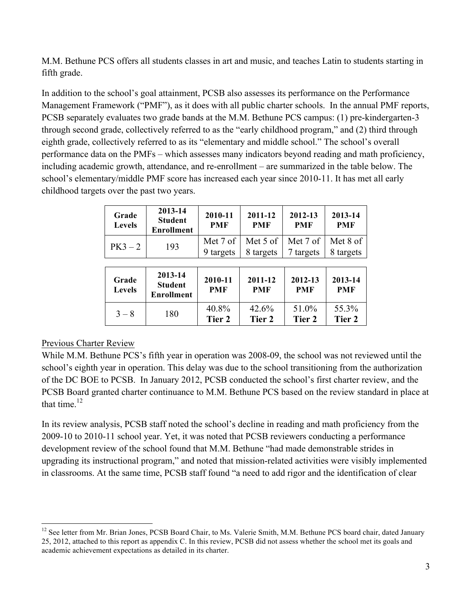M.M. Bethune PCS offers all students classes in art and music, and teaches Latin to students starting in fifth grade.

In addition to the school's goal attainment, PCSB also assesses its performance on the Performance Management Framework ("PMF"), as it does with all public charter schools. In the annual PMF reports, PCSB separately evaluates two grade bands at the M.M. Bethune PCS campus: (1) pre-kindergarten-3 through second grade, collectively referred to as the "early childhood program," and (2) third through eighth grade, collectively referred to as its "elementary and middle school." The school's overall performance data on the PMFs – which assesses many indicators beyond reading and math proficiency, including academic growth, attendance, and re-enrollment – are summarized in the table below. The school's elementary/middle PMF score has increased each year since 2010-11. It has met all early childhood targets over the past two years.

| Grade<br><b>Levels</b> | 2013-14<br><b>Student</b><br><b>Enrollment</b> | 2010-11<br><b>PMF</b> | 2011-12<br><b>PMF</b> | 2012-13<br><b>PMF</b> | 2013-14<br><b>PMF</b> |
|------------------------|------------------------------------------------|-----------------------|-----------------------|-----------------------|-----------------------|
| $PK3 - 2$              | 193                                            | Met 7 of              | Met 5 of              | Met 7 of              | Met 8 of              |
|                        |                                                | 9 targets             | 8 targets             | 7 targets             | 8 targets             |
|                        |                                                |                       |                       |                       |                       |
| Grade<br><b>Levels</b> | 2013-14<br><b>Student</b><br><b>Enrollment</b> | 2010-11<br><b>PMF</b> | 2011-12<br><b>PMF</b> | 2012-13<br><b>PMF</b> | 2013-14<br><b>PMF</b> |
| $3 - 8$                | 180                                            | 40.8%<br>Tier 2       | 42.6%<br>Tier 2       | 51.0%<br>Tier 2       | 55.3%<br>Tier 2       |

#### Previous Charter Review

While M.M. Bethune PCS's fifth year in operation was 2008-09, the school was not reviewed until the school's eighth year in operation. This delay was due to the school transitioning from the authorization of the DC BOE to PCSB. In January 2012, PCSB conducted the school's first charter review, and the PCSB Board granted charter continuance to M.M. Bethune PCS based on the review standard in place at that time.<sup>12</sup>

In its review analysis, PCSB staff noted the school's decline in reading and math proficiency from the 2009-10 to 2010-11 school year. Yet, it was noted that PCSB reviewers conducting a performance development review of the school found that M.M. Bethune "had made demonstrable strides in upgrading its instructional program," and noted that mission-related activities were visibly implemented in classrooms. At the same time, PCSB staff found "a need to add rigor and the identification of clear

 $12$  See letter from Mr. Brian Jones, PCSB Board Chair, to Ms. Valerie Smith, M.M. Bethune PCS board chair, dated January 25, 2012, attached to this report as appendix C. In this review, PCSB did not assess whether the school met its goals and academic achievement expectations as detailed in its charter.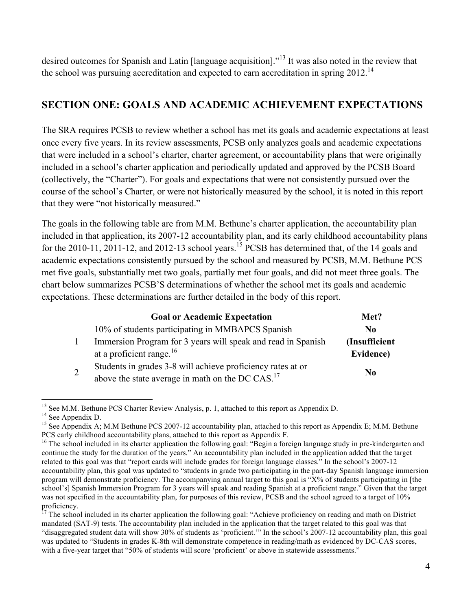desired outcomes for Spanish and Latin [language acquisition]."<sup>13</sup> It was also noted in the review that the school was pursuing accreditation and expected to earn accreditation in spring  $2012$ <sup>14</sup>

## **SECTION ONE: GOALS AND ACADEMIC ACHIEVEMENT EXPECTATIONS**

The SRA requires PCSB to review whether a school has met its goals and academic expectations at least once every five years. In its review assessments, PCSB only analyzes goals and academic expectations that were included in a school's charter, charter agreement, or accountability plans that were originally included in a school's charter application and periodically updated and approved by the PCSB Board (collectively, the "Charter"). For goals and expectations that were not consistently pursued over the course of the school's Charter, or were not historically measured by the school, it is noted in this report that they were "not historically measured."

The goals in the following table are from M.M. Bethune's charter application, the accountability plan included in that application, its 2007-12 accountability plan, and its early childhood accountability plans for the 2010-11, 2011-12, and 2012-13 school years.<sup>15</sup> PCSB has determined that, of the 14 goals and academic expectations consistently pursued by the school and measured by PCSB, M.M. Bethune PCS met five goals, substantially met two goals, partially met four goals, and did not meet three goals. The chart below summarizes PCSB'S determinations of whether the school met its goals and academic expectations. These determinations are further detailed in the body of this report.

|                | <b>Goal or Academic Expectation</b>                          | Met?           |
|----------------|--------------------------------------------------------------|----------------|
|                | 10% of students participating in MMBAPCS Spanish             | N <sub>0</sub> |
|                | Immersion Program for 3 years will speak and read in Spanish | (Insufficient) |
|                | at a proficient range. $16$                                  | Evidence)      |
| $\overline{2}$ | Students in grades 3-8 will achieve proficiency rates at or  | N <sub>0</sub> |
|                | above the state average in math on the DC CAS. <sup>17</sup> |                |

<sup>&</sup>lt;sup>13</sup> See M.M. Bethune PCS Charter Review Analysis, p. 1, attached to this report as Appendix D.<br><sup>14</sup> See Appendix D.<br><sup>15</sup> See Appendix A; M.M Bethune PCS 2007-12 accountability plan, attached to this report as Appendix E;

<sup>&</sup>lt;sup>16</sup> The school included in its charter application the following goal: "Begin a foreign language study in pre-kindergarten and continue the study for the duration of the years." An accountability plan included in the application added that the target related to this goal was that "report cards will include grades for foreign language classes." In the school's 2007-12 accountability plan, this goal was updated to "students in grade two participating in the part-day Spanish language immersion program will demonstrate proficiency. The accompanying annual target to this goal is "X% of students participating in [the school's] Spanish Immersion Program for 3 years will speak and reading Spanish at a proficient range." Given that the target was not specified in the accountability plan, for purposes of this review, PCSB and the school agreed to a target of 10% proficiency.

<sup>17</sup> The school included in its charter application the following goal: "Achieve proficiency on reading and math on District mandated (SAT-9) tests. The accountability plan included in the application that the target related to this goal was that "disaggregated student data will show 30% of students as 'proficient.'" In the school's 2007-12 accountability plan, this goal was updated to "Students in grades K-8th will demonstrate competence in reading/math as evidenced by DC-CAS scores, with a five-year target that "50% of students will score 'proficient' or above in statewide assessments."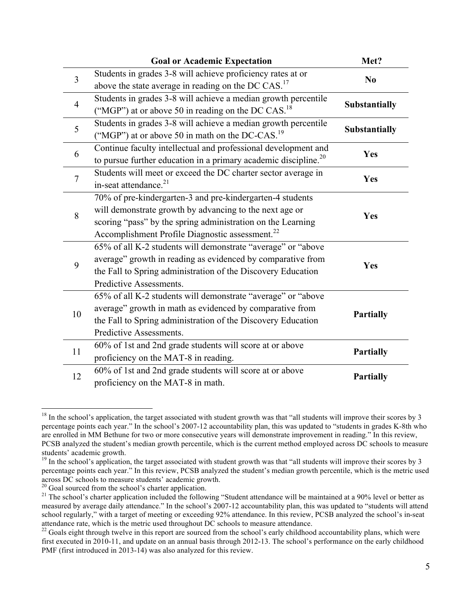|                | <b>Goal or Academic Expectation</b>                                         | Met?                 |
|----------------|-----------------------------------------------------------------------------|----------------------|
| $\overline{3}$ | Students in grades 3-8 will achieve proficiency rates at or                 | N <sub>0</sub>       |
|                | above the state average in reading on the DC CAS. <sup>17</sup>             |                      |
| $\overline{4}$ | Students in grades 3-8 will achieve a median growth percentile              | <b>Substantially</b> |
|                | ("MGP") at or above 50 in reading on the DC CAS. <sup>18</sup>              |                      |
| 5              | Students in grades 3-8 will achieve a median growth percentile              | <b>Substantially</b> |
|                | ("MGP") at or above 50 in math on the DC-CAS. <sup>19</sup>                 |                      |
| 6              | Continue faculty intellectual and professional development and              | Yes                  |
|                | to pursue further education in a primary academic discipline. <sup>20</sup> |                      |
| $\overline{7}$ | Students will meet or exceed the DC charter sector average in               | Yes                  |
|                | in-seat attendance. <sup>21</sup>                                           |                      |
|                | 70% of pre-kindergarten-3 and pre-kindergarten-4 students                   |                      |
| 8              | will demonstrate growth by advancing to the next age or                     | Yes                  |
|                | scoring "pass" by the spring administration on the Learning                 |                      |
|                | Accomplishment Profile Diagnostic assessment. <sup>22</sup>                 |                      |
|                | 65% of all K-2 students will demonstrate "average" or "above                |                      |
| 9              | average" growth in reading as evidenced by comparative from                 | Yes                  |
|                | the Fall to Spring administration of the Discovery Education                |                      |
|                | Predictive Assessments.                                                     |                      |
|                | 65% of all K-2 students will demonstrate "average" or "above                |                      |
| 10             | average" growth in math as evidenced by comparative from                    | <b>Partially</b>     |
|                | the Fall to Spring administration of the Discovery Education                |                      |
|                | Predictive Assessments.                                                     |                      |
| 11             | 60% of 1st and 2nd grade students will score at or above                    | <b>Partially</b>     |
|                | proficiency on the MAT-8 in reading.                                        |                      |
| 12             | 60% of 1st and 2nd grade students will score at or above                    | <b>Partially</b>     |
|                | proficiency on the MAT-8 in math.                                           |                      |

 $18$  In the school's application, the target associated with student growth was that "all students will improve their scores by 3 percentage points each year." In the school's 2007-12 accountability plan, this was updated to "students in grades K-8th who are enrolled in MM Bethune for two or more consecutive years will demonstrate improvement in reading." In this review, PCSB analyzed the student's median growth percentile, which is the current method employed across DC schools to measure students' academic growth.

 $\frac{19}{19}$  In the school's application, the target associated with student growth was that "all students will improve their scores by 3 percentage points each year." In this review, PCSB analyzed the student's median growth percentile, which is the metric used across DC schools to measure students' academic growth.<br><sup>20</sup> Goal sourced from the school's charter application.

<sup>&</sup>lt;sup>21</sup> The school's charter application included the following "Student attendance will be maintained at a 90% level or better as measured by average daily attendance." In the school's 2007-12 accountability plan, this was updated to "students will attend school regularly," with a target of meeting or exceeding 92% attendance. In this review, PCSB analyzed the school's in-seat attendance rate, which is the metric used throughout DC schools to measure attendance.<br><sup>22</sup> Goals eight through twelve in this report are sourced from the school's early childhood accountability plans, which were

first executed in 2010-11, and update on an annual basis through 2012-13. The school's performance on the early childhood PMF (first introduced in 2013-14) was also analyzed for this review.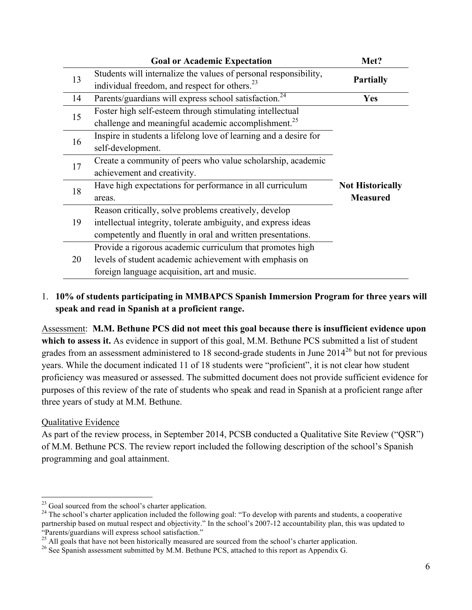|    | <b>Goal or Academic Expectation</b>                               | Met?                    |
|----|-------------------------------------------------------------------|-------------------------|
| 13 | Students will internalize the values of personal responsibility,  |                         |
|    | individual freedom, and respect for others. <sup>23</sup>         | <b>Partially</b>        |
| 14 | Parents/guardians will express school satisfaction. <sup>24</sup> | <b>Yes</b>              |
| 15 | Foster high self-esteem through stimulating intellectual          |                         |
|    | challenge and meaningful academic accomplishment. <sup>25</sup>   |                         |
| 16 | Inspire in students a lifelong love of learning and a desire for  |                         |
|    | self-development.                                                 |                         |
| 17 | Create a community of peers who value scholarship, academic       |                         |
|    | achievement and creativity.                                       |                         |
| 18 | Have high expectations for performance in all curriculum          | <b>Not Historically</b> |
|    | areas.                                                            | <b>Measured</b>         |
|    | Reason critically, solve problems creatively, develop             |                         |
| 19 | intellectual integrity, tolerate ambiguity, and express ideas     |                         |
|    | competently and fluently in oral and written presentations.       |                         |
|    | Provide a rigorous academic curriculum that promotes high         |                         |
| 20 | levels of student academic achievement with emphasis on           |                         |
|    | foreign language acquisition, art and music.                      |                         |

#### 1. **10% of students participating in MMBAPCS Spanish Immersion Program for three years will speak and read in Spanish at a proficient range.**

Assessment: **M.M. Bethune PCS did not meet this goal because there is insufficient evidence upon**  which to assess it. As evidence in support of this goal, M.M. Bethune PCS submitted a list of student grades from an assessment administered to 18 second-grade students in June  $2014^{26}$  but not for previous years. While the document indicated 11 of 18 students were "proficient", it is not clear how student proficiency was measured or assessed. The submitted document does not provide sufficient evidence for purposes of this review of the rate of students who speak and read in Spanish at a proficient range after three years of study at M.M. Bethune.

#### Qualitative Evidence

As part of the review process, in September 2014, PCSB conducted a Qualitative Site Review ("QSR") of M.M. Bethune PCS. The review report included the following description of the school's Spanish programming and goal attainment.

 $^{23}$  Goal sourced from the school's charter application.<br><sup>24</sup> The school's charter application included the following goal: "To develop with parents and students, a cooperative partnership based on mutual respect and objectivity." In the school's 2007-12 accountability plan, this was updated to "Parents/guardians will express school satisfaction."<br><sup>25</sup> All goals that have not been historically measured are sourced from the school's charter application.

<sup>&</sup>lt;sup>26</sup> See Spanish assessment submitted by M.M. Bethune PCS, attached to this report as Appendix G.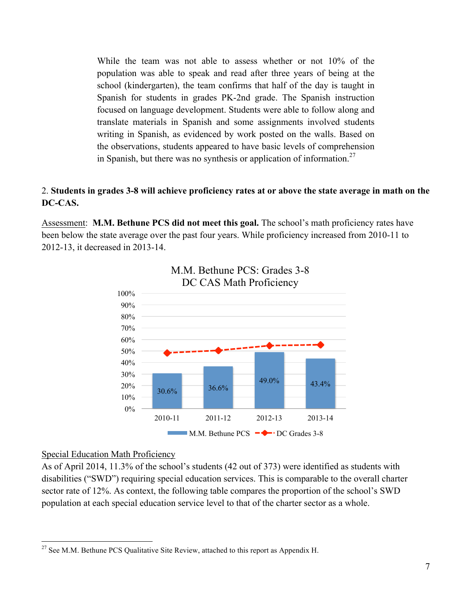While the team was not able to assess whether or not 10% of the population was able to speak and read after three years of being at the school (kindergarten), the team confirms that half of the day is taught in Spanish for students in grades PK-2nd grade. The Spanish instruction focused on language development. Students were able to follow along and translate materials in Spanish and some assignments involved students writing in Spanish, as evidenced by work posted on the walls. Based on the observations, students appeared to have basic levels of comprehension in Spanish, but there was no synthesis or application of information.<sup>27</sup>

#### 2. **Students in grades 3-8 will achieve proficiency rates at or above the state average in math on the DC-CAS.**

Assessment: **M.M. Bethune PCS did not meet this goal.** The school's math proficiency rates have been below the state average over the past four years. While proficiency increased from 2010-11 to 2012-13, it decreased in 2013-14.





#### Special Education Math Proficiency

As of April 2014, 11.3% of the school's students (42 out of 373) were identified as students with disabilities ("SWD") requiring special education services. This is comparable to the overall charter sector rate of 12%. As context, the following table compares the proportion of the school's SWD population at each special education service level to that of the charter sector as a whole.

 $27$  See M.M. Bethune PCS Qualitative Site Review, attached to this report as Appendix H.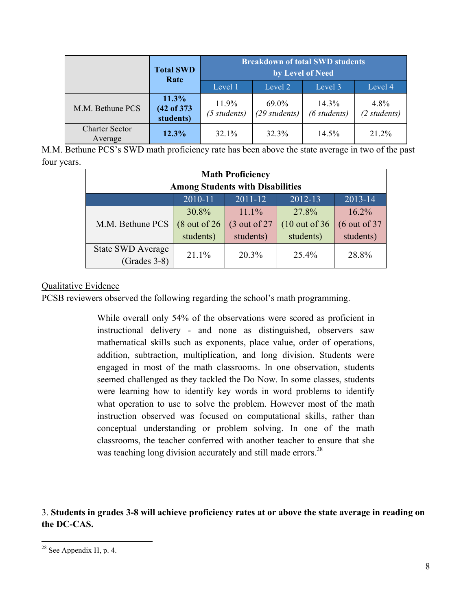| <b>Total SWD</b><br>Rate         |                                  | <b>Breakdown of total SWD students</b><br>by Level of Need |                          |                       |                      |
|----------------------------------|----------------------------------|------------------------------------------------------------|--------------------------|-----------------------|----------------------|
|                                  |                                  | Level 1                                                    | Level 2                  | Level 3               | Level 4              |
| M.M. Bethune PCS                 | 11.3%<br>(42 of 373<br>students) | 11.9%<br>$(5 \, students)$                                 | 69.0%<br>$(29$ students) | 14.3%<br>(6 students) | 4.8%<br>(2 students) |
| <b>Charter Sector</b><br>Average | 12.3%                            | 32.1%                                                      | 32.3%                    | 14.5%                 | 21.2%                |

M.M. Bethune PCS's SWD math proficiency rate has been above the state average in two of the past four years.

| <b>Math Proficiency</b><br><b>Among Students with Disabilities</b> |                          |                |                           |                          |
|--------------------------------------------------------------------|--------------------------|----------------|---------------------------|--------------------------|
| 2010-11<br>$2011 - 12$<br>2012-13<br>2013-14                       |                          |                |                           |                          |
|                                                                    | 30.8%                    | 11.1%          | 27.8%                     | 16.2%                    |
| M.M. Bethune PCS                                                   | $(8 \text{ out of } 26)$ | $(3$ out of 27 | $(10 \text{ out of } 36)$ | $(6 \text{ out of } 37)$ |
|                                                                    | students)                | students)      | students)                 | students)                |
| <b>State SWD Average</b>                                           | 21.1%                    | $20.3\%$       | 25.4%                     | 28.8%                    |
| $(Grades 3-8)$                                                     |                          |                |                           |                          |

#### Qualitative Evidence

PCSB reviewers observed the following regarding the school's math programming.

While overall only 54% of the observations were scored as proficient in instructional delivery - and none as distinguished, observers saw mathematical skills such as exponents, place value, order of operations, addition, subtraction, multiplication, and long division. Students were engaged in most of the math classrooms. In one observation, students seemed challenged as they tackled the Do Now. In some classes, students were learning how to identify key words in word problems to identify what operation to use to solve the problem. However most of the math instruction observed was focused on computational skills, rather than conceptual understanding or problem solving. In one of the math classrooms, the teacher conferred with another teacher to ensure that she was teaching long division accurately and still made errors. $^{28}$ 

3. **Students in grades 3-8 will achieve proficiency rates at or above the state average in reading on the DC-CAS.**

 $28$  See Appendix H, p. 4.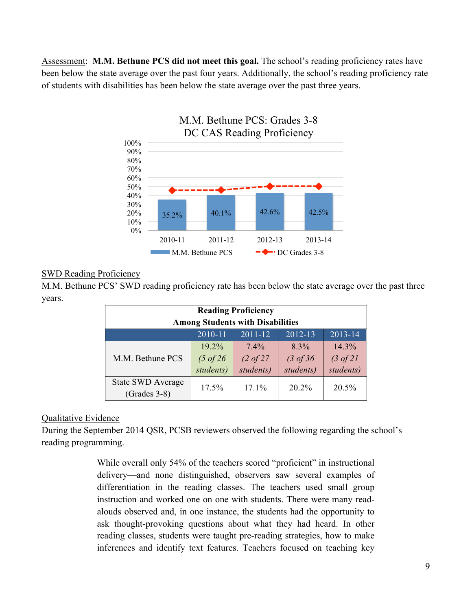Assessment: **M.M. Bethune PCS did not meet this goal.** The school's reading proficiency rates have been below the state average over the past four years. Additionally, the school's reading proficiency rate of students with disabilities has been below the state average over the past three years.



## SWD Reading Proficiency

M.M. Bethune PCS' SWD reading proficiency rate has been below the state average over the past three years.

| <b>Reading Proficiency</b><br><b>Among Students with Disabilities</b> |                                               |                                              |                                              |                                            |
|-----------------------------------------------------------------------|-----------------------------------------------|----------------------------------------------|----------------------------------------------|--------------------------------------------|
| $2011 - 12$<br>2010-11<br>2012-13<br>2013-14                          |                                               |                                              |                                              |                                            |
| M.M. Bethune PCS                                                      | $19.2\%$<br>$(5 \text{ of } 26)$<br>students) | $7.4\%$<br>$(2 \text{ of } 27)$<br>students) | $8.3\%$<br>$(3 \text{ of } 36)$<br>students) | 14.3%<br>$(3 \text{ of } 21)$<br>students) |
| <b>State SWD Average</b><br>17.1%<br>20.2%<br>17.5%<br>$(Grades 3-8)$ |                                               |                                              |                                              | 20.5%                                      |

#### Qualitative Evidence

During the September 2014 QSR, PCSB reviewers observed the following regarding the school's reading programming.

> While overall only 54% of the teachers scored "proficient" in instructional delivery—and none distinguished, observers saw several examples of differentiation in the reading classes. The teachers used small group instruction and worked one on one with students. There were many readalouds observed and, in one instance, the students had the opportunity to ask thought-provoking questions about what they had heard. In other reading classes, students were taught pre-reading strategies, how to make inferences and identify text features. Teachers focused on teaching key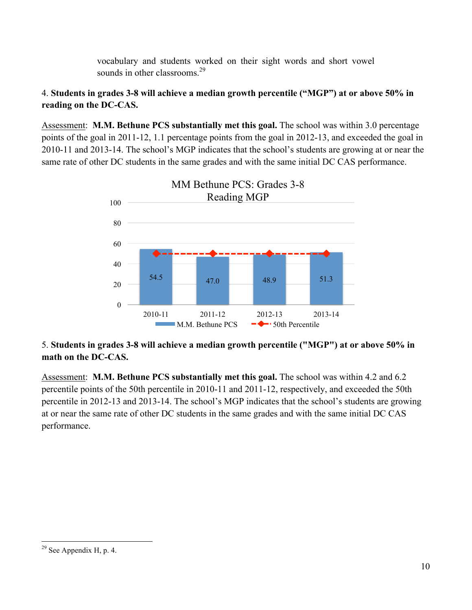vocabulary and students worked on their sight words and short vowel sounds in other classrooms.<sup>29</sup>

#### 4. **Students in grades 3-8 will achieve a median growth percentile ("MGP") at or above 50% in reading on the DC-CAS.**

Assessment: **M.M. Bethune PCS substantially met this goal.** The school was within 3.0 percentage points of the goal in 2011-12, 1.1 percentage points from the goal in 2012-13, and exceeded the goal in 2010-11 and 2013-14. The school's MGP indicates that the school's students are growing at or near the same rate of other DC students in the same grades and with the same initial DC CAS performance.



#### 5. **Students in grades 3-8 will achieve a median growth percentile ("MGP") at or above 50% in math on the DC-CAS.**

Assessment: **M.M. Bethune PCS substantially met this goal.** The school was within 4.2 and 6.2 percentile points of the 50th percentile in 2010-11 and 2011-12, respectively, and exceeded the 50th percentile in 2012-13 and 2013-14. The school's MGP indicates that the school's students are growing at or near the same rate of other DC students in the same grades and with the same initial DC CAS performance.

 $29$  See Appendix H, p. 4.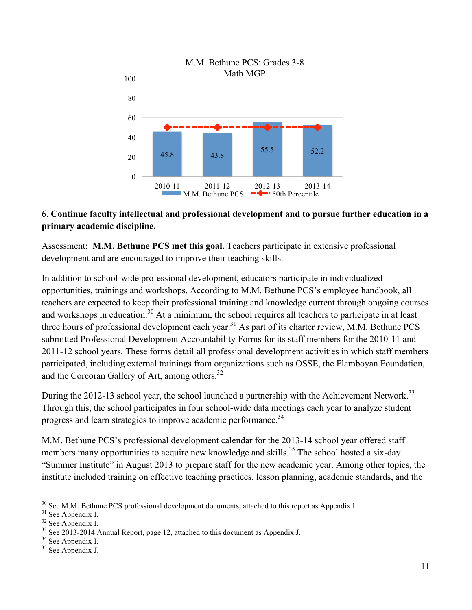

#### 6. **Continue faculty intellectual and professional development and to pursue further education in a primary academic discipline.**

Assessment: **M.M. Bethune PCS met this goal.** Teachers participate in extensive professional development and are encouraged to improve their teaching skills.

In addition to school-wide professional development, educators participate in individualized opportunities, trainings and workshops. According to M.M. Bethune PCS's employee handbook, all teachers are expected to keep their professional training and knowledge current through ongoing courses and workshops in education.<sup>30</sup> At a minimum, the school requires all teachers to participate in at least three hours of professional development each year.<sup>31</sup> As part of its charter review, M.M. Bethune PCS submitted Professional Development Accountability Forms for its staff members for the 2010-11 and 2011-12 school years. These forms detail all professional development activities in which staff members participated, including external trainings from organizations such as OSSE, the Flamboyan Foundation, and the Corcoran Gallery of Art, among others.<sup>32</sup>

During the 2012-13 school year, the school launched a partnership with the Achievement Network.<sup>33</sup> Through this, the school participates in four school-wide data meetings each year to analyze student progress and learn strategies to improve academic performance.<sup>34</sup>

M.M. Bethune PCS's professional development calendar for the 2013-14 school year offered staff members many opportunities to acquire new knowledge and skills.<sup>35</sup> The school hosted a six-day "Summer Institute" in August 2013 to prepare staff for the new academic year. Among other topics, the institute included training on effective teaching practices, lesson planning, academic standards, and the

<sup>&</sup>lt;sup>30</sup> See M.M. Bethune PCS professional development documents, attached to this report as Appendix I.<br><sup>31</sup> See Appendix I.<br><sup>32</sup> See Appendix I.<br><sup>33</sup> See Appendix I.<br><sup>34</sup> See Appendix I.<br><sup>34</sup> See Appendix I.<br><sup>34</sup> See Append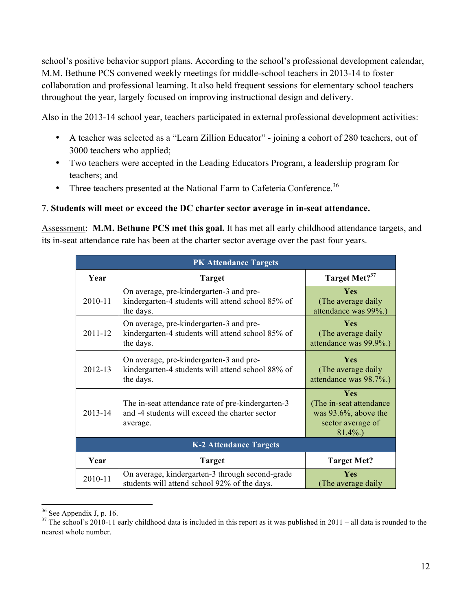school's positive behavior support plans. According to the school's professional development calendar, M.M. Bethune PCS convened weekly meetings for middle-school teachers in 2013-14 to foster collaboration and professional learning. It also held frequent sessions for elementary school teachers throughout the year, largely focused on improving instructional design and delivery.

Also in the 2013-14 school year, teachers participated in external professional development activities:

- A teacher was selected as a "Learn Zillion Educator" joining a cohort of 280 teachers, out of 3000 teachers who applied;
- Two teachers were accepted in the Leading Educators Program, a leadership program for teachers; and
- Three teachers presented at the National Farm to Cafeteria Conference.<sup>36</sup>

#### 7. **Students will meet or exceed the DC charter sector average in in-seat attendance.**

Assessment: **M.M. Bethune PCS met this goal.** It has met all early childhood attendance targets, and its in-seat attendance rate has been at the charter sector average over the past four years.

|             | <b>PK Attendance Targets</b>                                                                                    |                                                                                                |  |  |
|-------------|-----------------------------------------------------------------------------------------------------------------|------------------------------------------------------------------------------------------------|--|--|
| Year        | <b>Target</b>                                                                                                   | Target Met? <sup>37</sup>                                                                      |  |  |
| 2010-11     | On average, pre-kindergarten-3 and pre-<br>kindergarten-4 students will attend school 85% of<br>the days.       | <b>Yes</b><br>(The average daily)<br>attendance was 99%.)                                      |  |  |
| 2011-12     | On average, pre-kindergarten-3 and pre-<br>kindergarten-4 students will attend school 85% of<br>the days.       | <b>Yes</b><br>(The average daily)<br>attendance was 99.9%.)                                    |  |  |
| 2012-13     | On average, pre-kindergarten-3 and pre-<br>kindergarten-4 students will attend school 88% of<br>the days.       | <b>Yes</b><br>(The average daily)<br>attendance was 98.7%.)                                    |  |  |
| $2013 - 14$ | The in-seat attendance rate of pre-kindergarten-3<br>and -4 students will exceed the charter sector<br>average. | Yes<br>(The in-seat attendance)<br>was $93.6\%$ , above the<br>sector average of<br>$81.4\%$ . |  |  |
|             | <b>K-2 Attendance Targets</b>                                                                                   |                                                                                                |  |  |
| Year        | <b>Target</b>                                                                                                   | <b>Target Met?</b>                                                                             |  |  |
| 2010-11     | On average, kindergarten-3 through second-grade<br>students will attend school 92% of the days.                 | <b>Yes</b><br>(The average daily                                                               |  |  |

 $36$  See Appendix J, p. 16.

 $37$  The school's 2010-11 early childhood data is included in this report as it was published in 2011 – all data is rounded to the nearest whole number.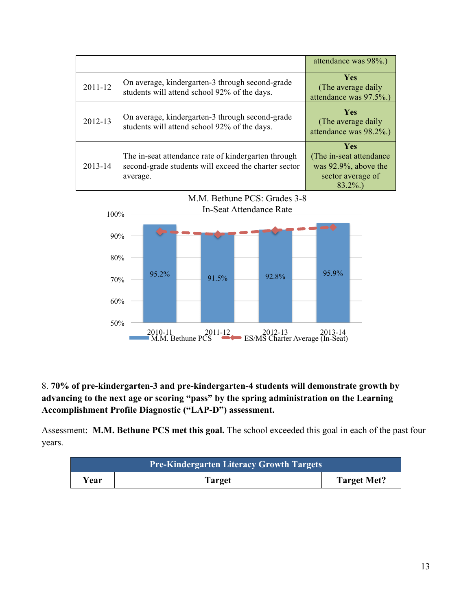|             |                                                                                                                         | attendance was 98%.)                                                                                  |
|-------------|-------------------------------------------------------------------------------------------------------------------------|-------------------------------------------------------------------------------------------------------|
| $2011 - 12$ | On average, kindergarten-3 through second-grade<br>students will attend school 92% of the days.                         | <b>Yes</b><br>(The average daily)<br>attendance was 97.5%.)                                           |
| 2012-13     | On average, kindergarten-3 through second-grade<br>students will attend school 92% of the days.                         | <b>Yes</b><br>(The average daily)<br>attendance was 98.2%.)                                           |
| 2013-14     | The in-seat attendance rate of kindergarten through<br>second-grade students will exceed the charter sector<br>average. | <b>Yes</b><br>(The in-seat attendance)<br>was $92.9\%$ , above the<br>sector average of<br>$83.2\%$ ) |



#### 8. **70% of pre-kindergarten-3 and pre-kindergarten-4 students will demonstrate growth by advancing to the next age or scoring "pass" by the spring administration on the Learning Accomplishment Profile Diagnostic ("LAP-D") assessment.**

Assessment: M.M. Bethune PCS met this goal. The school exceeded this goal in each of the past four years.

| <b>Pre-Kindergarten Literacy Growth Targets</b> |        |                    |
|-------------------------------------------------|--------|--------------------|
| ∕ ear                                           | Target | <b>Target Met?</b> |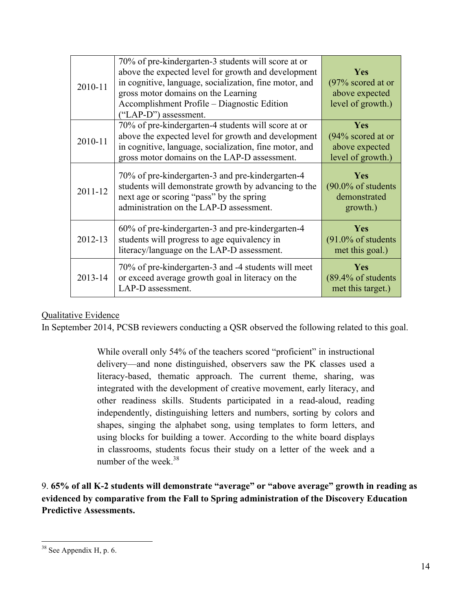| 2010-11 | 70% of pre-kindergarten-3 students will score at or<br>above the expected level for growth and development<br>in cognitive, language, socialization, fine motor, and<br>gross motor domains on the Learning<br>Accomplishment Profile – Diagnostic Edition<br>("LAP-D") assessment. | <b>Yes</b><br>$(97\%$ scored at or<br>above expected<br>level of growth.) |
|---------|-------------------------------------------------------------------------------------------------------------------------------------------------------------------------------------------------------------------------------------------------------------------------------------|---------------------------------------------------------------------------|
| 2010-11 | 70% of pre-kindergarten-4 students will score at or<br>above the expected level for growth and development<br>in cognitive, language, socialization, fine motor, and<br>gross motor domains on the LAP-D assessment.                                                                | Yes<br>(94% scored at or<br>above expected<br>level of growth.)           |
| 2011-12 | 70% of pre-kindergarten-3 and pre-kindergarten-4<br>students will demonstrate growth by advancing to the<br>next age or scoring "pass" by the spring<br>administration on the LAP-D assessment.                                                                                     | Yes<br>$(90.0\% \text{ of students}$<br>demonstrated<br>growth.)          |
| 2012-13 | 60% of pre-kindergarten-3 and pre-kindergarten-4<br>students will progress to age equivalency in<br>literacy/language on the LAP-D assessment.                                                                                                                                      | Yes<br>$(91.0\% \text{ of students}$<br>met this goal.)                   |
| 2013-14 | 70% of pre-kindergarten-3 and -4 students will meet<br>or exceed average growth goal in literacy on the<br>LAP-D assessment.                                                                                                                                                        | Yes<br>$(89.4\% \text{ of students}$<br>met this target.)                 |

#### Qualitative Evidence

In September 2014, PCSB reviewers conducting a QSR observed the following related to this goal.

While overall only 54% of the teachers scored "proficient" in instructional delivery—and none distinguished, observers saw the PK classes used a literacy-based, thematic approach. The current theme, sharing, was integrated with the development of creative movement, early literacy, and other readiness skills. Students participated in a read-aloud, reading independently, distinguishing letters and numbers, sorting by colors and shapes, singing the alphabet song, using templates to form letters, and using blocks for building a tower. According to the white board displays in classrooms, students focus their study on a letter of the week and a number of the week.<sup>38</sup>

9. **65% of all K-2 students will demonstrate "average" or "above average" growth in reading as evidenced by comparative from the Fall to Spring administration of the Discovery Education Predictive Assessments.**

 $38$  See Appendix H, p. 6.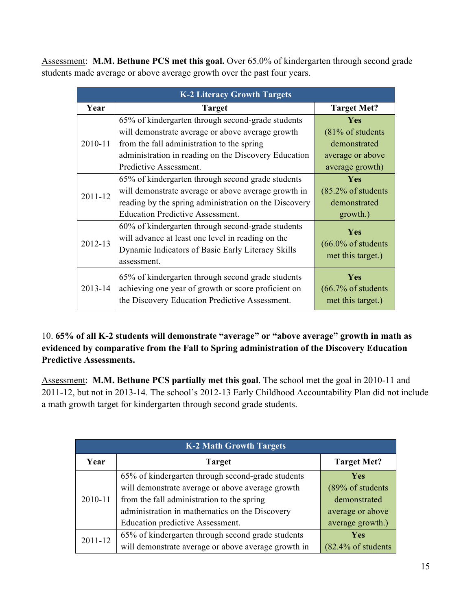Assessment: **M.M. Bethune PCS met this goal.** Over 65.0% of kindergarten through second grade students made average or above average growth over the past four years.

| <b>K-2 Literacy Growth Targets</b> |                                                       |                                |  |  |
|------------------------------------|-------------------------------------------------------|--------------------------------|--|--|
| Year                               | <b>Target</b>                                         | <b>Target Met?</b>             |  |  |
|                                    | 65% of kindergarten through second-grade students     | <b>Yes</b>                     |  |  |
|                                    | will demonstrate average or above average growth      | (81% of students               |  |  |
| 2010-11                            | from the fall administration to the spring            | demonstrated                   |  |  |
|                                    | administration in reading on the Discovery Education  | average or above               |  |  |
|                                    | Predictive Assessment.                                | average growth)                |  |  |
|                                    | 65% of kindergarten through second grade students     | Yes                            |  |  |
| 2011-12                            | will demonstrate average or above average growth in   | $(85.2\% \text{ of students}$  |  |  |
|                                    | reading by the spring administration on the Discovery | demonstrated                   |  |  |
|                                    | <b>Education Predictive Assessment.</b>               | growth.)                       |  |  |
|                                    | 60% of kindergarten through second-grade students     | Yes                            |  |  |
| 2012-13                            | will advance at least one level in reading on the     |                                |  |  |
|                                    | Dynamic Indicators of Basic Early Literacy Skills     | $(66.0\% \text{ of students}$  |  |  |
|                                    | assessment.                                           | met this target.)              |  |  |
|                                    | 65% of kindergarten through second grade students     | Yes                            |  |  |
| 2013-14                            | achieving one year of growth or score proficient on   | $(66.7\% \text{ of students})$ |  |  |
|                                    | the Discovery Education Predictive Assessment.        | met this target.)              |  |  |

10. **65% of all K-2 students will demonstrate "average" or "above average" growth in math as evidenced by comparative from the Fall to Spring administration of the Discovery Education Predictive Assessments.**

Assessment: **M.M. Bethune PCS partially met this goal**. The school met the goal in 2010-11 and 2011-12, but not in 2013-14. The school's 2012-13 Early Childhood Accountability Plan did not include a math growth target for kindergarten through second grade students.

| <b>K-2 Math Growth Targets</b> |                                                     |                               |  |  |  |
|--------------------------------|-----------------------------------------------------|-------------------------------|--|--|--|
| Year                           | <b>Target</b>                                       |                               |  |  |  |
|                                | 65% of kindergarten through second-grade students   | <b>Yes</b>                    |  |  |  |
|                                | will demonstrate average or above average growth    | (89% of students              |  |  |  |
| 2010-11                        | from the fall administration to the spring          | demonstrated                  |  |  |  |
|                                | administration in mathematics on the Discovery      | average or above              |  |  |  |
|                                | Education predictive Assessment.                    | average growth.)              |  |  |  |
| 2011-12                        | 65% of kindergarten through second grade students   | <b>Yes</b>                    |  |  |  |
|                                | will demonstrate average or above average growth in | $(82.4\% \text{ of students}$ |  |  |  |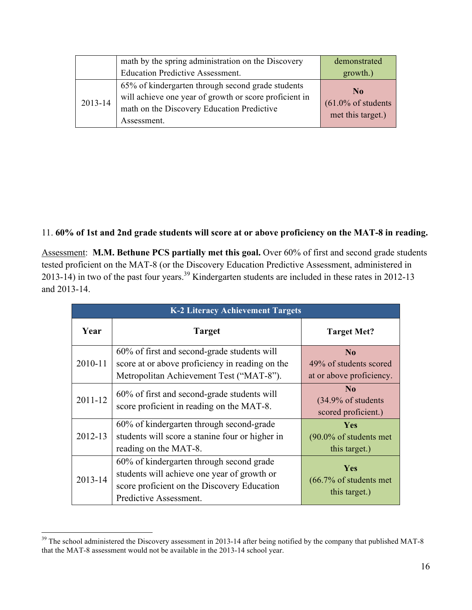|         | math by the spring administration on the Discovery<br><b>Education Predictive Assessment.</b>                                                                            | demonstrated<br>growth.)                                             |
|---------|--------------------------------------------------------------------------------------------------------------------------------------------------------------------------|----------------------------------------------------------------------|
| 2013-14 | 65% of kindergarten through second grade students<br>will achieve one year of growth or score proficient in<br>math on the Discovery Education Predictive<br>Assessment. | N <sub>0</sub><br>$(61.0\% \text{ of students}$<br>met this target.) |

#### 11. **60% of 1st and 2nd grade students will score at or above proficiency on the MAT-8 in reading.**

Assessment: M.M. Bethune PCS partially met this goal. Over 60% of first and second grade students tested proficient on the MAT-8 (or the Discovery Education Predictive Assessment, administered in 2013-14) in two of the past four years.<sup>39</sup> Kindergarten students are included in these rates in 2012-13 and 2013-14.

| <b>K-2 Literacy Achievement Targets</b> |                                                                                                                                                                  |                                                                         |  |  |  |
|-----------------------------------------|------------------------------------------------------------------------------------------------------------------------------------------------------------------|-------------------------------------------------------------------------|--|--|--|
| Year                                    | <b>Target</b>                                                                                                                                                    | <b>Target Met?</b>                                                      |  |  |  |
| 2010-11                                 | 60% of first and second-grade students will<br>score at or above proficiency in reading on the<br>Metropolitan Achievement Test ("MAT-8").                       | $\bf No$<br>49% of students scored<br>at or above proficiency.          |  |  |  |
| $2011 - 12$                             | 60% of first and second-grade students will<br>score proficient in reading on the MAT-8.                                                                         | N <sub>0</sub><br>$(34.9\% \text{ of students})$<br>scored proficient.) |  |  |  |
| 2012-13                                 | 60% of kindergarten through second-grade<br>students will score a stanine four or higher in<br>reading on the MAT-8.                                             | Yes<br>$(90.0\% \text{ of students met})$<br>this target.)              |  |  |  |
| 2013-14                                 | 60% of kindergarten through second grade<br>students will achieve one year of growth or<br>score proficient on the Discovery Education<br>Predictive Assessment. | <b>Yes</b><br>$(66.7\% \text{ of students met})$<br>this target.)       |  |  |  |

<sup>&</sup>lt;sup>39</sup> The school administered the Discovery assessment in 2013-14 after being notified by the company that published MAT-8 that the MAT-8 assessment would not be available in the 2013-14 school year.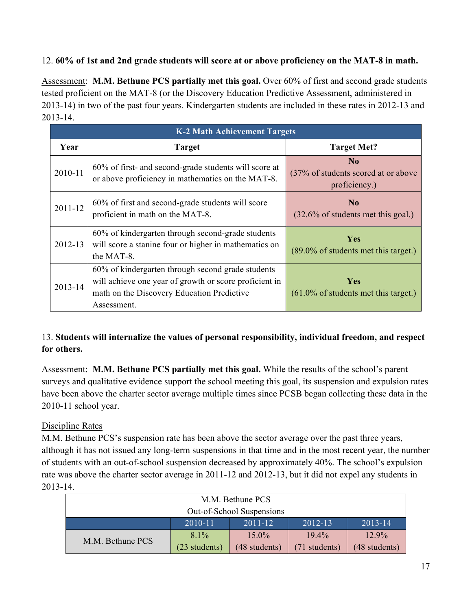#### 12. **60% of 1st and 2nd grade students will score at or above proficiency on the MAT-8 in math.**

Assessment: **M.M. Bethune PCS partially met this goal.** Over 60% of first and second grade students tested proficient on the MAT-8 (or the Discovery Education Predictive Assessment, administered in 2013-14) in two of the past four years. Kindergarten students are included in these rates in 2012-13 and 2013-14.

|             | <b>K-2 Math Achievement Targets</b>                                                                                                                                      |                                                                   |
|-------------|--------------------------------------------------------------------------------------------------------------------------------------------------------------------------|-------------------------------------------------------------------|
| Year        | <b>Target</b>                                                                                                                                                            | <b>Target Met?</b>                                                |
| 2010-11     | 60% of first- and second-grade students will score at<br>or above proficiency in mathematics on the MAT-8.                                                               | $\bf N_0$<br>(37% of students scored at or above<br>proficiency.) |
| $2011 - 12$ | 60% of first and second-grade students will score<br>proficient in math on the MAT-8.                                                                                    | N <sub>0</sub><br>$(32.6\% \text{ of students met this goal.})$   |
| 2012-13     | 60% of kindergarten through second-grade students<br>will score a stanine four or higher in mathematics on<br>the MAT-8.                                                 | <b>Yes</b><br>$(89.0\% \text{ of students met this target.})$     |
| 2013-14     | 60% of kindergarten through second grade students<br>will achieve one year of growth or score proficient in<br>math on the Discovery Education Predictive<br>Assessment. | <b>Yes</b><br>$(61.0\%$ of students met this target.)             |

#### 13. **Students will internalize the values of personal responsibility, individual freedom, and respect for others.**

Assessment: **M.M. Bethune PCS partially met this goal.** While the results of the school's parent surveys and qualitative evidence support the school meeting this goal, its suspension and expulsion rates have been above the charter sector average multiple times since PCSB began collecting these data in the 2010-11 school year.

#### Discipline Rates

M.M. Bethune PCS's suspension rate has been above the sector average over the past three years, although it has not issued any long-term suspensions in that time and in the most recent year, the number of students with an out-of-school suspension decreased by approximately 40%. The school's expulsion rate was above the charter sector average in 2011-12 and 2012-13, but it did not expel any students in 2013-14.

| M.M. Bethune PCS                                 |               |               |               |               |  |
|--------------------------------------------------|---------------|---------------|---------------|---------------|--|
| Out-of-School Suspensions                        |               |               |               |               |  |
| 2012-13<br>$2013 - 14$<br>$2010 - 11$<br>2011-12 |               |               |               |               |  |
| M.M. Bethune PCS                                 | $8.1\%$       | $15.0\%$      | $19.4\%$      | $12.9\%$      |  |
|                                                  | (23 students) | (48 students) | (71 students) | (48 students) |  |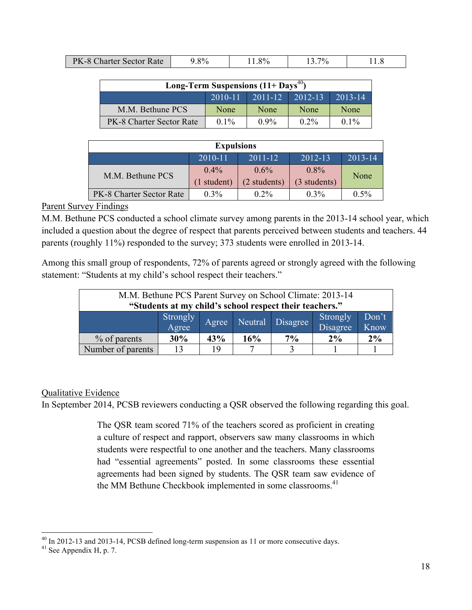| <b>PK-8 Charter Sector Rate</b> | .8% | 1.8% | $7\%$ |  |
|---------------------------------|-----|------|-------|--|

| Long-Term Suspensions $(11+$ Days <sup>40</sup> ) |         |         |         |         |  |
|---------------------------------------------------|---------|---------|---------|---------|--|
| $2011 - 12$ 2012-13<br>$2010 - 11$<br>$2013 - 14$ |         |         |         |         |  |
| M.M. Bethune PCS                                  | None    | None    | None    | None    |  |
| PK-8 Charter Sector Rate                          | $0.1\%$ | $0.9\%$ | $0.2\%$ | $0.1\%$ |  |

| <b>Expulsions</b>                                        |                        |                         |                         |         |  |
|----------------------------------------------------------|------------------------|-------------------------|-------------------------|---------|--|
| $2010 - 11$<br>$2011 - 12$<br>$2012 - 13$<br>$2013 - 14$ |                        |                         |                         |         |  |
| M.M. Bethune PCS                                         | $0.4\%$<br>(1 student) | $0.6\%$<br>(2 students) | $0.8\%$<br>(3 students) | None    |  |
| PK-8 Charter Sector Rate                                 | $0.3\%$                | $0.2\%$                 | $0.3\%$                 | $0.5\%$ |  |

#### Parent Survey Findings

M.M. Bethune PCS conducted a school climate survey among parents in the 2013-14 school year, which included a question about the degree of respect that parents perceived between students and teachers. 44 parents (roughly 11%) responded to the survey; 373 students were enrolled in 2013-14.

Among this small group of respondents, 72% of parents agreed or strongly agreed with the following statement: "Students at my child's school respect their teachers."

| M.M. Bethune PCS Parent Survey on School Climate: 2013-14<br>"Students at my child's school respect their teachers." |                                                                                         |     |              |             |       |       |
|----------------------------------------------------------------------------------------------------------------------|-----------------------------------------------------------------------------------------|-----|--------------|-------------|-------|-------|
|                                                                                                                      | Don't<br>Strongly<br>Agree<br>Strongly<br>Neutral Disagree<br>Agree<br>Disagree<br>Know |     |              |             |       |       |
| % of parents                                                                                                         | 30%                                                                                     | 43% | 16%          | $7\%$       | $2\%$ | $2\%$ |
| Number of parents                                                                                                    | 13                                                                                      | 19  | $\mathbf{r}$ | $\mathbf 3$ |       |       |

#### Qualitative Evidence

In September 2014, PCSB reviewers conducting a QSR observed the following regarding this goal.

The QSR team scored 71% of the teachers scored as proficient in creating a culture of respect and rapport, observers saw many classrooms in which students were respectful to one another and the teachers. Many classrooms had "essential agreements" posted. In some classrooms these essential agreements had been signed by students. The QSR team saw evidence of the MM Bethune Checkbook implemented in some classrooms.<sup>41</sup>

<sup>&</sup>lt;sup>40</sup> In 2012-13 and 2013-14, PCSB defined long-term suspension as 11 or more consecutive days. <sup>41</sup> See Appendix H, p. 7.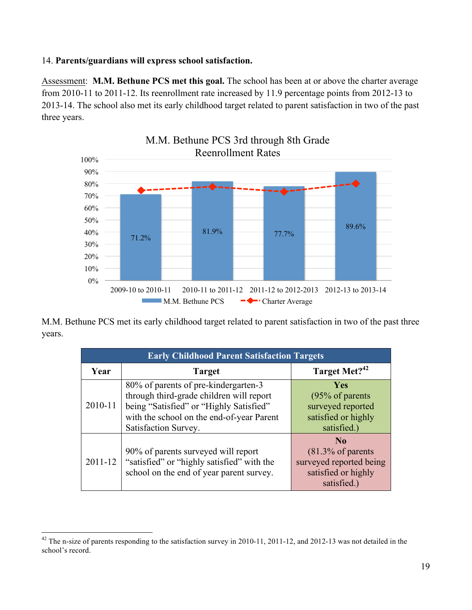#### 14. **Parents/guardians will express school satisfaction.**

Assessment: **M.M. Bethune PCS met this goal.** The school has been at or above the charter average from 2010-11 to 2011-12. Its reenrollment rate increased by 11.9 percentage points from 2012-13 to 2013-14. The school also met its early childhood target related to parent satisfaction in two of the past three years.



M.M. Bethune PCS met its early childhood target related to parent satisfaction in two of the past three years.

| <b>Early Childhood Parent Satisfaction Targets</b> |                                                                                                                                                                                                  |                                                                                                                 |  |  |  |
|----------------------------------------------------|--------------------------------------------------------------------------------------------------------------------------------------------------------------------------------------------------|-----------------------------------------------------------------------------------------------------------------|--|--|--|
| Year                                               | <b>Target</b>                                                                                                                                                                                    | Target Met? <sup>42</sup>                                                                                       |  |  |  |
| 2010-11                                            | 80% of parents of pre-kindergarten-3<br>through third-grade children will report<br>being "Satisfied" or "Highly Satisfied"<br>with the school on the end-of-year Parent<br>Satisfaction Survey. | <b>Yes</b><br>(95% of parents)<br>surveyed reported<br>satisfied or highly<br>satisfied.)                       |  |  |  |
| $2011 - 12$                                        | 90% of parents surveyed will report<br>"satisfied" or "highly satisfied" with the<br>school on the end of year parent survey.                                                                    | N <sub>0</sub><br>$(81.3\% \text{ of parents}$<br>surveyed reported being<br>satisfied or highly<br>satisfied.) |  |  |  |

<sup>&</sup>lt;sup>42</sup> The n-size of parents responding to the satisfaction survey in 2010-11, 2011-12, and 2012-13 was not detailed in the school's record.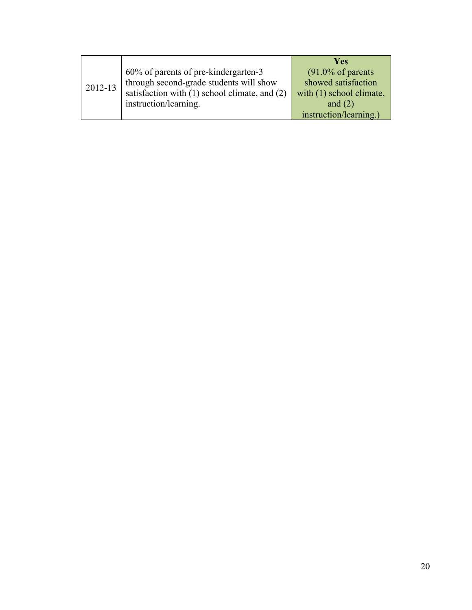|         |                                               | <b>Yes</b>                   |
|---------|-----------------------------------------------|------------------------------|
| 2012-13 | 60% of parents of pre-kindergarten-3          | $(91.0\% \text{ of parents}$ |
|         | through second-grade students will show       | showed satisfaction          |
|         | satisfaction with (1) school climate, and (2) | with (1) school climate,     |
|         | instruction/learning.                         | and $(2)$                    |
|         |                                               | instruction/learning.)       |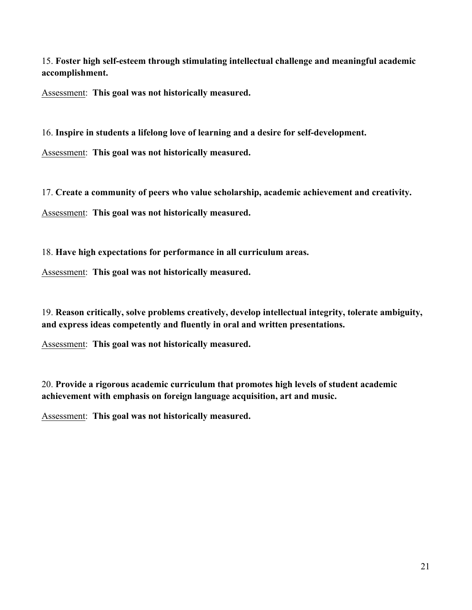15. **Foster high self-esteem through stimulating intellectual challenge and meaningful academic accomplishment.**

Assessment: **This goal was not historically measured.**

16. **Inspire in students a lifelong love of learning and a desire for self-development.**

Assessment: **This goal was not historically measured.**

17. **Create a community of peers who value scholarship, academic achievement and creativity.**

Assessment: **This goal was not historically measured.**

18. **Have high expectations for performance in all curriculum areas.**

Assessment: **This goal was not historically measured.**

19. **Reason critically, solve problems creatively, develop intellectual integrity, tolerate ambiguity, and express ideas competently and fluently in oral and written presentations.**

Assessment: **This goal was not historically measured.**

20. **Provide a rigorous academic curriculum that promotes high levels of student academic achievement with emphasis on foreign language acquisition, art and music.**

Assessment: **This goal was not historically measured.**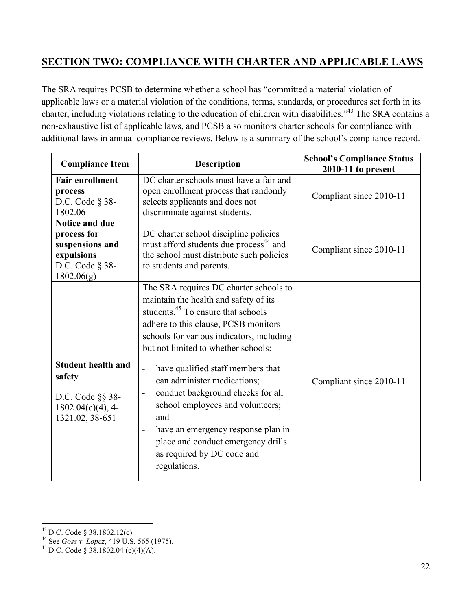## **SECTION TWO: COMPLIANCE WITH CHARTER AND APPLICABLE LAWS**

The SRA requires PCSB to determine whether a school has "committed a material violation of applicable laws or a material violation of the conditions, terms, standards, or procedures set forth in its charter, including violations relating to the education of children with disabilities."43 The SRA contains a non-exhaustive list of applicable laws, and PCSB also monitors charter schools for compliance with additional laws in annual compliance reviews. Below is a summary of the school's compliance record.

| <b>Compliance Item</b>                                                                             | <b>Description</b>                                                                                                                                                                                                                                                                                                                                                                                                                                                                                                                                                                       |                         |
|----------------------------------------------------------------------------------------------------|------------------------------------------------------------------------------------------------------------------------------------------------------------------------------------------------------------------------------------------------------------------------------------------------------------------------------------------------------------------------------------------------------------------------------------------------------------------------------------------------------------------------------------------------------------------------------------------|-------------------------|
| <b>Fair enrollment</b><br>process<br>D.C. Code $\S$ 38-<br>1802.06                                 | DC charter schools must have a fair and<br>open enrollment process that randomly<br>selects applicants and does not<br>discriminate against students.                                                                                                                                                                                                                                                                                                                                                                                                                                    | Compliant since 2010-11 |
| Notice and due<br>process for<br>suspensions and<br>expulsions<br>D.C. Code $\S$ 38-<br>1802.06(g) | DC charter school discipline policies<br>must afford students due process <sup>44</sup> and<br>the school must distribute such policies<br>to students and parents.                                                                                                                                                                                                                                                                                                                                                                                                                      | Compliant since 2010-11 |
| <b>Student health and</b><br>safety<br>D.C. Code §§ 38-<br>$1802.04(c)(4)$ , 4-<br>1321.02, 38-651 | The SRA requires DC charter schools to<br>maintain the health and safety of its<br>students. <sup>45</sup> To ensure that schools<br>adhere to this clause, PCSB monitors<br>schools for various indicators, including<br>but not limited to whether schools:<br>have qualified staff members that<br>$\frac{1}{2}$<br>can administer medications;<br>conduct background checks for all<br>school employees and volunteers;<br>and<br>have an emergency response plan in<br>$\overline{\phantom{a}}$<br>place and conduct emergency drills<br>as required by DC code and<br>regulations. | Compliant since 2010-11 |

<sup>43</sup> D.C. Code § 38.1802.12(c). <sup>44</sup> See *Goss v. Lopez*, 419 U.S. 565 (1975). <sup>45</sup> D.C. Code § 38.1802.04 (c)(4)(A).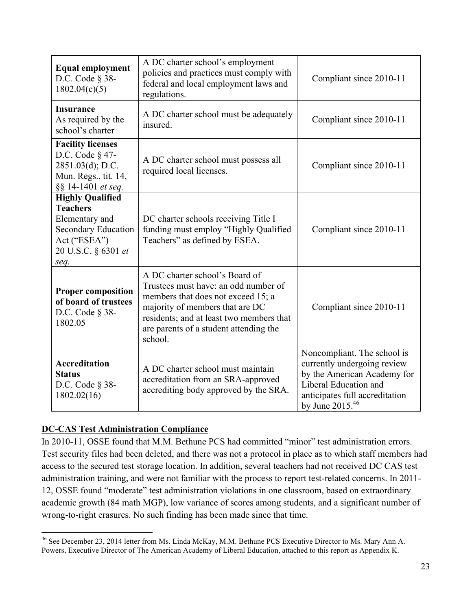| <b>Equal employment</b><br>D.C. Code $\S$ 38-<br>1802.04(c)(5)                                                                                                                                 | A DC charter school's employment<br>policies and practices must comply with<br>federal and local employment laws and<br>regulations.                                                                                                             | Compliant since 2010-11                                                                                                                                                   |
|------------------------------------------------------------------------------------------------------------------------------------------------------------------------------------------------|--------------------------------------------------------------------------------------------------------------------------------------------------------------------------------------------------------------------------------------------------|---------------------------------------------------------------------------------------------------------------------------------------------------------------------------|
| <b>Insurance</b><br>As required by the<br>school's charter                                                                                                                                     | A DC charter school must be adequately<br>insured.                                                                                                                                                                                               | Compliant since 2010-11                                                                                                                                                   |
| <b>Facility licenses</b><br>D.C. Code $\S$ 47-<br>$2851.03(d)$ ; D.C.<br>Mun. Regs., tit. 14,<br>§§ 14-1401 et seq.                                                                            | Compliant since 2010-11                                                                                                                                                                                                                          |                                                                                                                                                                           |
| <b>Highly Qualified</b><br><b>Teachers</b><br>Elementary and<br><b>Secondary Education</b><br>Act ("ESEA")<br>20 U.S.C. § 6301 et<br>seq.                                                      | DC charter schools receiving Title I<br>funding must employ "Highly Qualified<br>Teachers" as defined by ESEA.                                                                                                                                   | Compliant since 2010-11                                                                                                                                                   |
| <b>Proper composition</b><br>of board of trustees<br>D.C. Code $\S$ 38-<br>1802.05                                                                                                             | A DC charter school's Board of<br>Trustees must have: an odd number of<br>members that does not exceed 15; a<br>majority of members that are DC<br>residents; and at least two members that<br>are parents of a student attending the<br>school. | Compliant since 2010-11                                                                                                                                                   |
| <b>Accreditation</b><br>A DC charter school must maintain<br><b>Status</b><br>accreditation from an SRA-approved<br>D.C. Code $\S$ 38-<br>accrediting body approved by the SRA.<br>1802.02(16) |                                                                                                                                                                                                                                                  | Noncompliant. The school is<br>currently undergoing review<br>by the American Academy for<br>Liberal Education and<br>anticipates full accreditation<br>by June $2015.46$ |

#### **DC-CAS Test Administration Compliance**

In 2010-11, OSSE found that M.M. Bethune PCS had committed "minor" test administration errors. Test security files had been deleted, and there was not a protocol in place as to which staff members had access to the secured test storage location. In addition, several teachers had not received DC CAS test administration training, and were not familiar with the process to report test-related concerns. In 2011- 12, OSSE found "moderate" test administration violations in one classroom, based on extraordinary academic growth (84 math MGP), low variance of scores among students, and a significant number of wrong-to-right erasures. No such finding has been made since that time.

 <sup>46</sup> See December 23, 2014 letter from Ms. Linda McKay, M.M. Bethune PCS Executive Director to Ms. Mary Ann A. Powers, Executive Director of The American Academy of Liberal Education, attached to this report as Appendix K.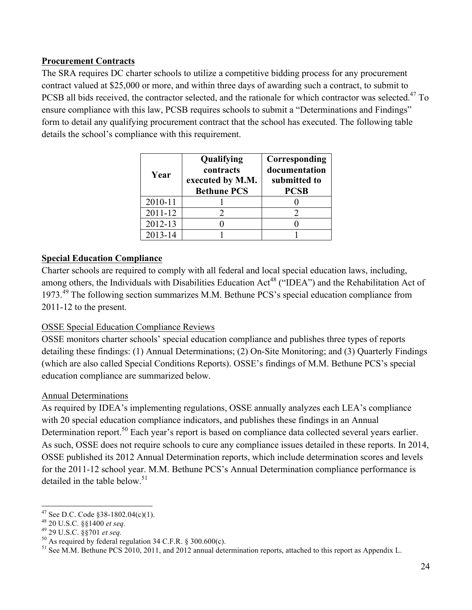#### **Procurement Contracts**

The SRA requires DC charter schools to utilize a competitive bidding process for any procurement contract valued at \$25,000 or more, and within three days of awarding such a contract, to submit to PCSB all bids received, the contractor selected, and the rationale for which contractor was selected.<sup>47</sup> To ensure compliance with this law, PCSB requires schools to submit a "Determinations and Findings" form to detail any qualifying procurement contract that the school has executed. The following table details the school's compliance with this requirement.

| Year    | Qualifying<br>contracts<br>executed by M.M.<br><b>Bethune PCS</b> | Corresponding<br>documentation<br>submitted to<br><b>PCSB</b> |
|---------|-------------------------------------------------------------------|---------------------------------------------------------------|
| 2010-11 |                                                                   |                                                               |
| 2011-12 |                                                                   |                                                               |
| 2012-13 |                                                                   |                                                               |
| 2013-14 |                                                                   |                                                               |

#### **Special Education Compliance**

Charter schools are required to comply with all federal and local special education laws, including, among others, the Individuals with Disabilities Education Act<sup>48</sup> ("IDEA") and the Rehabilitation Act of 1973.<sup>49</sup> The following section summarizes M.M. Bethune PCS's special education compliance from 2011-12 to the present.

#### OSSE Special Education Compliance Reviews

OSSE monitors charter schools' special education compliance and publishes three types of reports detailing these findings: (1) Annual Determinations; (2) On-Site Monitoring; and (3) Quarterly Findings (which are also called Special Conditions Reports). OSSE's findings of M.M. Bethune PCS's special education compliance are summarized below.

#### Annual Determinations

As required by IDEA's implementing regulations, OSSE annually analyzes each LEA's compliance with 20 special education compliance indicators, and publishes these findings in an Annual Determination report.<sup>50</sup> Each year's report is based on compliance data collected several years earlier. As such, OSSE does not require schools to cure any compliance issues detailed in these reports. In 2014, OSSE published its 2012 Annual Determination reports, which include determination scores and levels for the 2011-12 school year. M.M. Bethune PCS's Annual Determination compliance performance is detailed in the table below.<sup>51</sup>

<sup>&</sup>lt;sup>47</sup> See D.C. Code §38-1802.04(c)(1).<br><sup>48</sup> 20 U.S.C. §§1400 *et seq.*<br><sup>49</sup> 29 U.S.C. §§701 *et seq.*<br><sup>50</sup> As required by federal regulation 34 C.F.R. § 300.600(c).<br><sup>51</sup> See M.M. Bethune PCS 2010, 2011, and 2012 annual det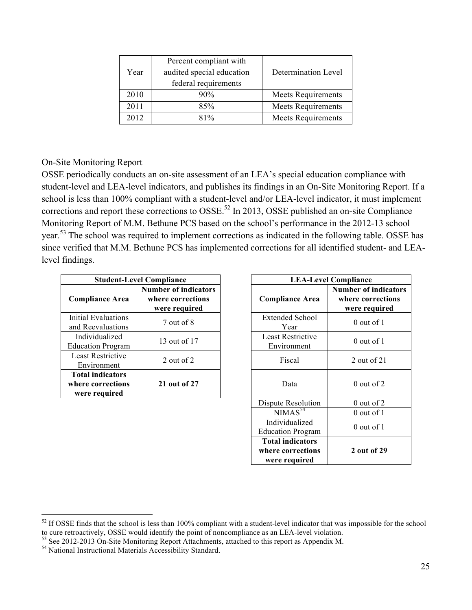| Year | Percent compliant with<br>audited special education<br>federal requirements | Determination Level       |
|------|-----------------------------------------------------------------------------|---------------------------|
| 2010 | 90%                                                                         | <b>Meets Requirements</b> |
| 2011 | 85%                                                                         | Meets Requirements        |
| 2012 | 81%                                                                         | <b>Meets Requirements</b> |

#### On-Site Monitoring Report

OSSE periodically conducts an on-site assessment of an LEA's special education compliance with student-level and LEA-level indicators, and publishes its findings in an On-Site Monitoring Report. If a school is less than 100% compliant with a student-level and/or LEA-level indicator, it must implement corrections and report these corrections to  $OSSE$ <sup>52</sup> In 2013, OSSE published an on-site Compliance Monitoring Report of M.M. Bethune PCS based on the school's performance in the 2012-13 school year.<sup>53</sup> The school was required to implement corrections as indicated in the following table. OSSE has since verified that M.M. Bethune PCS has implemented corrections for all identified student- and LEAlevel findings.

|                                                               | <b>Student-Level Compliance</b>                                   |                        | <b>LEA-Level Compliance</b>      |                                                  |  |  |  |
|---------------------------------------------------------------|-------------------------------------------------------------------|------------------------|----------------------------------|--------------------------------------------------|--|--|--|
| <b>Compliance Area</b>                                        | <b>Number of indicators</b><br>where corrections<br>were required | <b>Compliance Area</b> |                                  | Number of india<br>where correct<br>were require |  |  |  |
| Initial Evaluations<br>and Reevaluations                      | 7 out of 8                                                        |                        | <b>Extended School</b><br>Year   | $0$ out of $1$                                   |  |  |  |
| Individualized<br><b>Education Program</b>                    | 13 out of 17                                                      |                        | Least Restrictive<br>Environment | $0$ out of $1$                                   |  |  |  |
| <b>Least Restrictive</b><br>Environment                       | 2 out of 2                                                        |                        | Fiscal                           | 2 out of $21$                                    |  |  |  |
| <b>Total indicators</b><br>where corrections<br>were required | 21 out of 27                                                      |                        | Data                             | $0$ out of 2                                     |  |  |  |

| npliance                                             | <b>LEA-Level Compliance</b>                                   |                                                                   |  |  |  |  |
|------------------------------------------------------|---------------------------------------------------------------|-------------------------------------------------------------------|--|--|--|--|
| ber of indicators<br>ere corrections<br>ere required | <b>Compliance Area</b>                                        | <b>Number of indicators</b><br>where corrections<br>were required |  |  |  |  |
| 7 out of 8                                           | <b>Extended School</b><br>Year                                | $0$ out of $1$                                                    |  |  |  |  |
| 13 out of 17                                         | Least Restrictive<br>Environment                              | $0$ out of $1$                                                    |  |  |  |  |
| 2 out of 2                                           | Fiscal                                                        | 2 out of 21                                                       |  |  |  |  |
| 21 out of 27                                         | Data                                                          | $0$ out of $2$                                                    |  |  |  |  |
|                                                      | Dispute Resolution                                            | $0$ out of $2$                                                    |  |  |  |  |
|                                                      | NIMAS <sup>54</sup>                                           | 0 out of 1                                                        |  |  |  |  |
|                                                      | Individualized<br><b>Education Program</b>                    | $0$ out of 1                                                      |  |  |  |  |
|                                                      | <b>Total indicators</b><br>where corrections<br>were required | 2 out of 29                                                       |  |  |  |  |

<sup>&</sup>lt;sup>52</sup> If OSSE finds that the school is less than 100% compliant with a student-level indicator that was impossible for the school to cure retroactively, OSSE would identify the point of noncompliance as an LEA-level violation.<br>
<sup>53</sup> See 2012-2013 On-Site Monitoring Report Attachments, attached to this report as Appendix M.<br>
<sup>54</sup> National Instructiona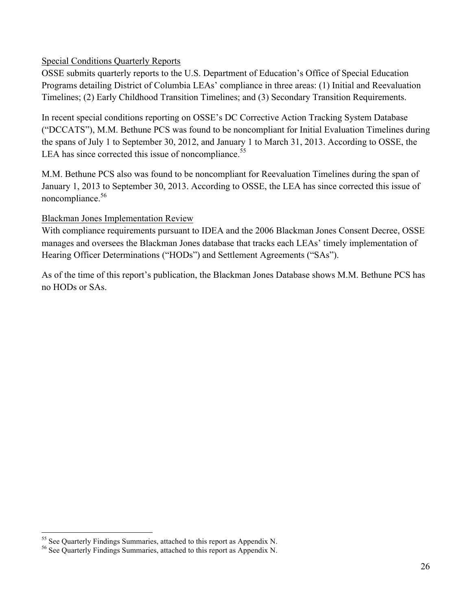#### Special Conditions Quarterly Reports

OSSE submits quarterly reports to the U.S. Department of Education's Office of Special Education Programs detailing District of Columbia LEAs' compliance in three areas: (1) Initial and Reevaluation Timelines; (2) Early Childhood Transition Timelines; and (3) Secondary Transition Requirements.

In recent special conditions reporting on OSSE's DC Corrective Action Tracking System Database ("DCCATS"), M.M. Bethune PCS was found to be noncompliant for Initial Evaluation Timelines during the spans of July 1 to September 30, 2012, and January 1 to March 31, 2013. According to OSSE, the LEA has since corrected this issue of noncompliance.<sup>55</sup>

M.M. Bethune PCS also was found to be noncompliant for Reevaluation Timelines during the span of January 1, 2013 to September 30, 2013. According to OSSE, the LEA has since corrected this issue of noncompliance.<sup>56</sup>

#### Blackman Jones Implementation Review

With compliance requirements pursuant to IDEA and the 2006 Blackman Jones Consent Decree, OSSE manages and oversees the Blackman Jones database that tracks each LEAs' timely implementation of Hearing Officer Determinations ("HODs") and Settlement Agreements ("SAs").

As of the time of this report's publication, the Blackman Jones Database shows M.M. Bethune PCS has no HODs or SAs.

<sup>&</sup>lt;sup>55</sup> See Quarterly Findings Summaries, attached to this report as Appendix N.  $^{56}$  See Quarterly Findings Summaries, attached to this report as Appendix N.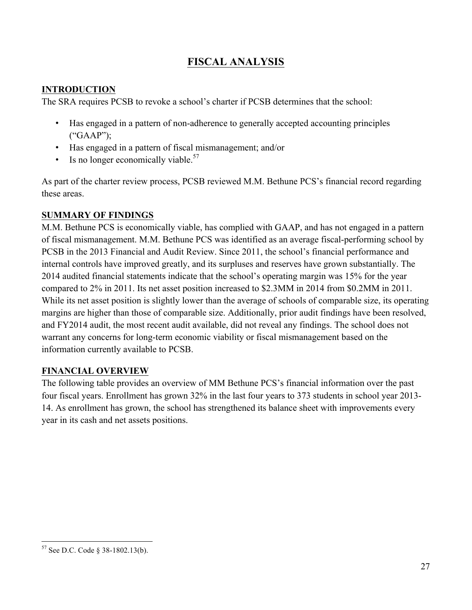## **FISCAL ANALYSIS**

#### **INTRODUCTION**

The SRA requires PCSB to revoke a school's charter if PCSB determines that the school:

- Has engaged in a pattern of non-adherence to generally accepted accounting principles ("GAAP");
- Has engaged in a pattern of fiscal mismanagement; and/or
- Is no longer economically viable. $57$

As part of the charter review process, PCSB reviewed M.M. Bethune PCS's financial record regarding these areas.

#### **SUMMARY OF FINDINGS**

M.M. Bethune PCS is economically viable, has complied with GAAP, and has not engaged in a pattern of fiscal mismanagement. M.M. Bethune PCS was identified as an average fiscal-performing school by PCSB in the 2013 Financial and Audit Review. Since 2011, the school's financial performance and internal controls have improved greatly, and its surpluses and reserves have grown substantially. The 2014 audited financial statements indicate that the school's operating margin was 15% for the year compared to 2% in 2011. Its net asset position increased to \$2.3MM in 2014 from \$0.2MM in 2011. While its net asset position is slightly lower than the average of schools of comparable size, its operating margins are higher than those of comparable size. Additionally, prior audit findings have been resolved, and FY2014 audit, the most recent audit available, did not reveal any findings. The school does not warrant any concerns for long-term economic viability or fiscal mismanagement based on the information currently available to PCSB.

#### **FINANCIAL OVERVIEW**

The following table provides an overview of MM Bethune PCS's financial information over the past four fiscal years. Enrollment has grown 32% in the last four years to 373 students in school year 2013- 14. As enrollment has grown, the school has strengthened its balance sheet with improvements every year in its cash and net assets positions.

 <sup>57</sup> See D.C. Code § 38-1802.13(b).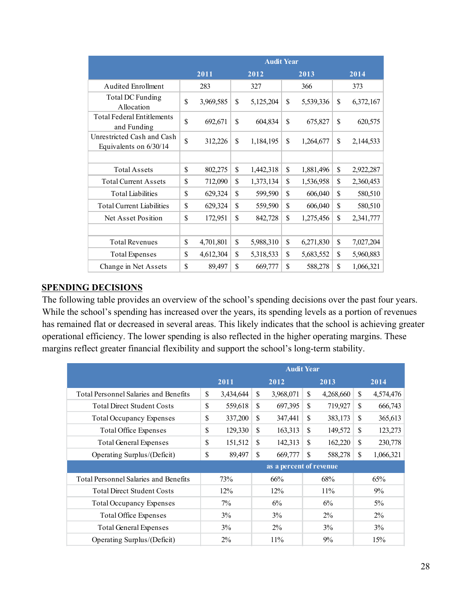|                                                      | <b>Audit Year</b> |           |    |           |    |           |              |           |  |
|------------------------------------------------------|-------------------|-----------|----|-----------|----|-----------|--------------|-----------|--|
|                                                      |                   | 2011      |    | 2012      |    | 2013      |              | 2014      |  |
| <b>Audited Enrollment</b>                            |                   | 283       |    | 327       |    | 366       |              | 373       |  |
| Total DC Funding<br>Allocation                       | \$                | 3,969,585 | \$ | 5,125,204 | \$ | 5,539,336 | \$           | 6,372,167 |  |
| <b>Total Federal Entitlements</b><br>and Funding     | \$                | 692,671   | \$ | 604,834   | \$ | 675,827   | \$           | 620,575   |  |
| Unrestricted Cash and Cash<br>Equivalents on 6/30/14 | \$                | 312,226   | \$ | 1,184,195 | \$ | 1,264,677 | \$           | 2,144,533 |  |
|                                                      |                   |           |    |           |    |           |              |           |  |
| <b>Total Assets</b>                                  | \$                | 802,275   | \$ | 1,442,318 | \$ | 1,881,496 | \$           | 2,922,287 |  |
| <b>Total Current Assets</b>                          | \$                | 712,090   | \$ | 1,373,134 | \$ | 1,536,958 | \$           | 2,360,453 |  |
| <b>Total Liabilities</b>                             | \$                | 629,324   | \$ | 599,590   | \$ | 606,040   | \$           | 580,510   |  |
| <b>Total Current Liabilities</b>                     | \$                | 629,324   | \$ | 559,590   | \$ | 606,040   | \$           | 580,510   |  |
| Net Asset Position                                   | \$                | 172,951   | \$ | 842,728   | \$ | 1,275,456 | $\mathbb{S}$ | 2,341,777 |  |
|                                                      |                   |           |    |           |    |           |              |           |  |
| <b>Total Revenues</b>                                | $\mathbf S$       | 4,701,801 | \$ | 5,988,310 | \$ | 6,271,830 | \$           | 7,027,204 |  |
| <b>Total Expenses</b>                                | \$                | 4,612,304 | \$ | 5,318,533 | \$ | 5,683,552 | \$           | 5,960,883 |  |
| Change in Net Assets                                 | \$                | 89,497    | \$ | 669,777   | \$ | 588,278   | \$           | 1,066,321 |  |

#### **SPENDING DECISIONS**

The following table provides an overview of the school's spending decisions over the past four years. While the school's spending has increased over the years, its spending levels as a portion of revenues has remained flat or decreased in several areas. This likely indicates that the school is achieving greater operational efficiency. The lower spending is also reflected in the higher operating margins. These margins reflect greater financial flexibility and support the school's long-term stability.

|                                              | <b>Audit Year</b> |           |       |                         |       |           |              |           |
|----------------------------------------------|-------------------|-----------|-------|-------------------------|-------|-----------|--------------|-----------|
|                                              |                   | 2011      |       | 2012                    |       | 2013      |              | 2014      |
| <b>Total Personnel Salaries and Benefits</b> | \$                | 3,434,644 | \$    | 3,968,071               | \$    | 4,268,660 | \$           | 4,574,476 |
| <b>Total Direct Student Costs</b>            | \$                | 559,618   | \$    | 697,395                 | \$    | 719,927   | $\mathbb{S}$ | 666,743   |
| <b>Total Occupancy Expenses</b>              | \$                | 337,200   | \$    | 347,441                 | \$    | 383,173   | \$           | 365,613   |
| <b>Total Office Expenses</b>                 | \$                | 129,330   | \$    | 163,313                 | \$    | 149,572   | \$           | 123,273   |
| Total General Expenses                       | \$                | 151,512   | S     | 142,313                 | \$    | 162,220   | \$           | 230,778   |
| Operating Surplus/(Deficit)                  | \$                | 89,497    | S     | 669,777                 | \$    | 588,278   | S            | 1,066,321 |
|                                              |                   |           |       | as a percent of revenue |       |           |              |           |
| <b>Total Personnel Salaries and Benefits</b> |                   | 73%       | 66%   |                         | 68%   |           | 65%          |           |
| <b>Total Direct Student Costs</b>            |                   | 12%       | 12%   |                         | 11%   |           |              | 9%        |
| <b>Total Occupancy Expenses</b>              | $7\%$             |           | 6%    |                         | 6%    |           |              | $5\%$     |
| Total Office Expenses                        | $3\%$             |           | 3%    |                         | $2\%$ |           |              | $2\%$     |
| Total General Expenses                       | $3\%$             |           | $2\%$ |                         | 3%    |           |              | $3\%$     |
| Operating Surplus/(Deficit)                  |                   | $2\%$     |       | 11%                     |       | 9%        |              | 15%       |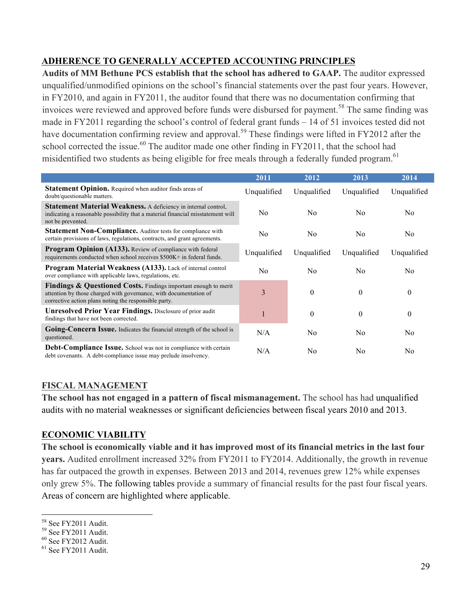#### **ADHERENCE TO GENERALLY ACCEPTED ACCOUNTING PRINCIPLES**

**Audits of MM Bethune PCS establish that the school has adhered to GAAP.** The auditor expressed unqualified/unmodified opinions on the school's financial statements over the past four years. However, in FY2010, and again in FY2011, the auditor found that there was no documentation confirming that invoices were reviewed and approved before funds were disbursed for payment.<sup>58</sup> The same finding was made in FY2011 regarding the school's control of federal grant funds – 14 of 51 invoices tested did not have documentation confirming review and approval.<sup>59</sup> These findings were lifted in FY2012 after the school corrected the issue.<sup>60</sup> The auditor made one other finding in FY2011, that the school had misidentified two students as being eligible for free meals through a federally funded program.<sup>61</sup>

|                                                                                                                                                                                               | 2011        | 2012           | 2013           | 2014           |
|-----------------------------------------------------------------------------------------------------------------------------------------------------------------------------------------------|-------------|----------------|----------------|----------------|
| <b>Statement Opinion.</b> Required when auditor finds areas of<br>doubt/questionable matters.                                                                                                 | Unqualified | Unqualified    | Unqualified    | Unqualified    |
| <b>Statement Material Weakness.</b> A deficiency in internal control,<br>indicating a reasonable possibility that a material financial misstatement will<br>not be prevented.                 | No          | No             | N <sub>0</sub> | N <sub>0</sub> |
| <b>Statement Non-Compliance.</b> Auditor tests for compliance with<br>certain provisions of laws, regulations, contracts, and grant agreements.                                               | No          | N <sub>0</sub> | N <sub>0</sub> | N <sub>0</sub> |
| <b>Program Opinion (A133).</b> Review of compliance with federal<br>requirements conducted when school receives \$500K+ in federal funds.                                                     | Unqualified | Unqualified    | Unqualified    | Unqualified    |
| <b>Program Material Weakness (A133).</b> Lack of internal control<br>over compliance with applicable laws, regulations, etc.                                                                  | No          | N <sub>0</sub> | N <sub>0</sub> | N <sub>0</sub> |
| Findings & Questioned Costs. Findings important enough to merit<br>attention by those charged with governance, with documentation of<br>corrective action plans noting the responsible party. | 3           | $\theta$       | $\theta$       | $\theta$       |
| <b>Unresolved Prior Year Findings.</b> Disclosure of prior audit<br>findings that have not been corrected.                                                                                    |             | $\theta$       | $\theta$       | $\theta$       |
| Going-Concern Issue. Indicates the financial strength of the school is<br>questioned.                                                                                                         | N/A         | N <sub>0</sub> | N <sub>0</sub> | N <sub>0</sub> |
| Debt-Compliance Issue. School was not in compliance with certain<br>debt covenants. A debt-compliance issue may prelude insolvency.                                                           | N/A         | No             | N <sub>0</sub> | N <sub>0</sub> |

#### **FISCAL MANAGEMENT**

**The school has not engaged in a pattern of fiscal mismanagement.** The school has had unqualified audits with no material weaknesses or significant deficiencies between fiscal years 2010 and 2013.

#### **ECONOMIC VIABILITY**

**The school is economically viable and it has improved most of its financial metrics in the last four years.** Audited enrollment increased 32% from FY2011 to FY2014. Additionally, the growth in revenue has far outpaced the growth in expenses. Between 2013 and 2014, revenues grew 12% while expenses only grew 5%. The following tables provide a summary of financial results for the past four fiscal years. Areas of concern are highlighted where applicable.

<sup>&</sup>lt;sup>58</sup> See FY2011 Audit.<br><sup>59</sup> See FY2011 Audit.<br><sup>60</sup> See FY2012 Audit.<br><sup>61</sup> See FY2011 Audit.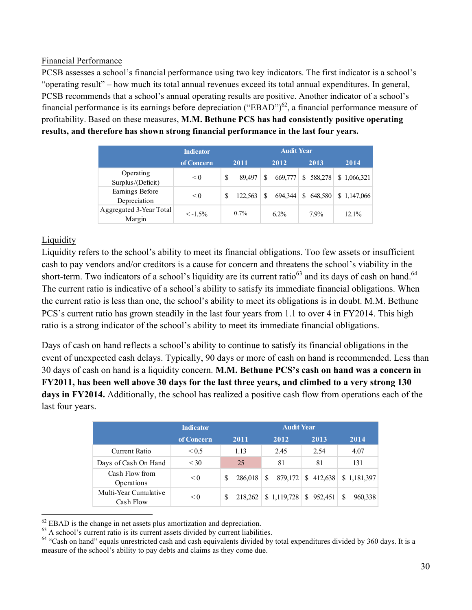#### Financial Performance

PCSB assesses a school's financial performance using two key indicators. The first indicator is a school's "operating result" – how much its total annual revenues exceed its total annual expenditures. In general, PCSB recommends that a school's annual operating results are positive. Another indicator of a school's financial performance is its earnings before depreciation ("EBAD") $^{62}$ , a financial performance measure of profitability. Based on these measures, **M.M. Bethune PCS has had consistently positive operating results, and therefore has shown strong financial performance in the last four years.**

|                                   | <b>Indicator</b> |   |         |   | <b>Audit Year</b> |               |             |
|-----------------------------------|------------------|---|---------|---|-------------------|---------------|-------------|
|                                   | of Concern       |   | 2011    |   | 2012              | 2013          | 2014        |
| Operating<br>Surplus/(Deficit)    | < 0              | S | 89.497  | S | 669,777           | \$<br>588,278 | \$1,066,321 |
| Earnings Before<br>Depreciation   | $\leq 0$         | S | 122.563 | S | 694.344           | \$<br>648.580 | \$1,147,066 |
| Aggregated 3-Year Total<br>Margin | $\leq -1.5\%$    |   | $0.7\%$ |   | $6.2\%$           | 7.9%          | 12.1%       |

#### Liquidity

Liquidity refers to the school's ability to meet its financial obligations. Too few assets or insufficient cash to pay vendors and/or creditors is a cause for concern and threatens the school's viability in the short-term. Two indicators of a school's liquidity are its current ratio<sup>63</sup> and its days of cash on hand.<sup>64</sup> The current ratio is indicative of a school's ability to satisfy its immediate financial obligations. When the current ratio is less than one, the school's ability to meet its obligations is in doubt. M.M. Bethune PCS's current ratio has grown steadily in the last four years from 1.1 to over 4 in FY2014. This high ratio is a strong indicator of the school's ability to meet its immediate financial obligations.

Days of cash on hand reflects a school's ability to continue to satisfy its financial obligations in the event of unexpected cash delays. Typically, 90 days or more of cash on hand is recommended. Less than 30 days of cash on hand is a liquidity concern. **M.M. Bethune PCS's cash on hand was a concern in FY2011, has been well above 30 days for the last three years, and climbed to a very strong 130 days in FY2014.** Additionally, the school has realized a positive cash flow from operations each of the last four years.

|                                    | <b>Indicator</b> | <b>Audit Year</b> |                          |           |               |  |  |
|------------------------------------|------------------|-------------------|--------------------------|-----------|---------------|--|--|
|                                    | of Concern       | 2011              | 2012                     | 2013      | 2014          |  |  |
| Current Ratio                      | < 0.5            | 1.13              | 2.45                     | 2.54      | 4.07          |  |  |
| Days of Cash On Hand               | $<$ 30           | 25                | 81                       | 81        | 131           |  |  |
| Cash Flow from<br>Operations       | < 0              | 286,018<br>S      | 879,172<br><sup>\$</sup> | \$412,638 | \$1,181,397   |  |  |
| Multi-Year Cumulative<br>Cash Flow | $\leq 0$         | S<br>218.262      | \$1,119,728              | \$952,451 | \$<br>960.338 |  |  |

<sup>&</sup>lt;sup>62</sup> EBAD is the change in net assets plus amortization and depreciation.<br><sup>63</sup> A school's current ratio is its current assets divided by current liabilities.<br><sup>64</sup> "Cash on hand" equals unrestricted cash and cash equivalen measure of the school's ability to pay debts and claims as they come due.